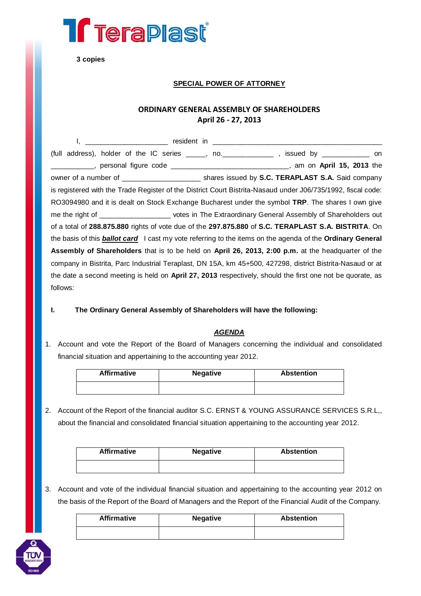

**3 copies**

#### **SPECIAL POWER OF ATTORNEY**

# **ORDINARY GENERAL ASSEMBLY OF SHAREHOLDERS April 26 - 27, 2013**

I, \_\_\_\_\_\_\_\_\_\_\_\_\_\_\_\_\_\_\_\_\_ resident in \_\_\_\_\_\_\_\_\_\_\_\_\_\_\_\_\_\_\_\_\_\_\_\_\_\_\_\_\_\_\_\_\_\_\_\_\_\_\_\_\_\_\_ (full address), holder of the IC series \_\_\_\_\_, no.\_\_\_\_\_\_\_\_\_\_\_\_\_ , issued by \_\_\_\_\_\_\_\_\_\_\_\_ on \_\_\_\_\_\_\_\_\_\_\_, personal figure code \_\_\_\_\_\_\_\_\_\_\_\_\_\_\_\_\_\_\_\_\_\_\_\_\_\_\_\_\_\_, am on **April 15, 2013** the owner of a number of \_\_\_\_\_\_\_\_\_\_\_\_\_\_\_\_\_\_\_\_ shares issued by **S.C. TERAPLAST S.A.** Said company is registered with the Trade Register of the District Court Bistrita-Nasaud under J06/735/1992, fiscal code: RO3094980 and it is dealt on Stock Exchange Bucharest under the symbol **TRP**. The shares I own give me the right of **Extraordinary General Assembly of Shareholders out** votes in The Extraordinary General Assembly of Shareholders out of a total of **288.875.880** rights of vote due of the **297.875.880** of **S.C. TERAPLAST S.A. BISTRITA**. On the basis of this *ballot card* I cast my vote referring to the items on the agenda of the **Ordinary General Assembly of Shareholders** that is to be held on **April 26, 2013, 2:00 p.m.** at the headquarter of the company in Bistrita, Parc Industrial Teraplast, DN 15A, km 45+500, 427298, district Bistrita-Nasaud or at the date a second meeting is held on **April 27, 2013** respectively, should the first one not be quorate, as follows:

## **I. The Ordinary General Assembly of Shareholders will have the following:**

## *AGENDA*

1. Account and vote the Report of the Board of Managers concerning the individual and consolidated financial situation and appertaining to the accounting year 2012.

| <b>Affirmative</b> | <b>Negative</b> | <b>Abstention</b> |
|--------------------|-----------------|-------------------|
|                    |                 |                   |

2. Account of the Report of the financial auditor S.C. ERNST & YOUNG ASSURANCE SERVICES S.R.L,, about the financial and consolidated financial situation appertaining to the accounting year 2012.

| <b>Affirmative</b> | <b>Negative</b> | <b>Abstention</b> |
|--------------------|-----------------|-------------------|
|                    |                 |                   |

3. Account and vote of the individual financial situation and appertaining to the accounting year 2012 on the basis of the Report of the Board of Managers and the Report of the Financial Audit of the Company.

| <b>Affirmative</b> | <b>Negative</b> | <b>Abstention</b> |
|--------------------|-----------------|-------------------|
|                    |                 |                   |

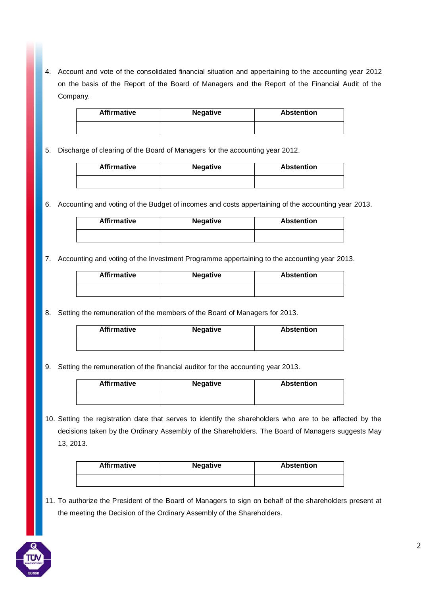4. Account and vote of the consolidated financial situation and appertaining to the accounting year 2012 on the basis of the Report of the Board of Managers and the Report of the Financial Audit of the Company.

| <b>Affirmative</b> | <b>Negative</b> | <b>Abstention</b> |
|--------------------|-----------------|-------------------|
|                    |                 |                   |

5. Discharge of clearing of the Board of Managers for the accounting year 2012.

| <b>Affirmative</b> | <b>Negative</b> | <b>Abstention</b> |
|--------------------|-----------------|-------------------|
|                    |                 |                   |

6. Accounting and voting of the Budget of incomes and costs appertaining of the accounting year 2013.

| <b>Affirmative</b> | <b>Negative</b> | <b>Abstention</b> |
|--------------------|-----------------|-------------------|
|                    |                 |                   |

7. Accounting and voting of the Investment Programme appertaining to the accounting year 2013.

| <b>Affirmative</b> | <b>Negative</b> | <b>Abstention</b> |
|--------------------|-----------------|-------------------|
|                    |                 |                   |

8. Setting the remuneration of the members of the Board of Managers for 2013.

| <b>Affirmative</b> | <b>Negative</b> | <b>Abstention</b> |
|--------------------|-----------------|-------------------|
|                    |                 |                   |

9. Setting the remuneration of the financial auditor for the accounting year 2013.

| <b>Affirmative</b> | <b>Negative</b> | <b>Abstention</b> |
|--------------------|-----------------|-------------------|
|                    |                 |                   |

10. Setting the registration date that serves to identify the shareholders who are to be affected by the decisions taken by the Ordinary Assembly of the Shareholders. The Board of Managers suggests May 13, 2013.

| <b>Affirmative</b> | <b>Negative</b> | <b>Abstention</b> |
|--------------------|-----------------|-------------------|
|                    |                 |                   |

11. To authorize the President of the Board of Managers to sign on behalf of the shareholders present at the meeting the Decision of the Ordinary Assembly of the Shareholders.